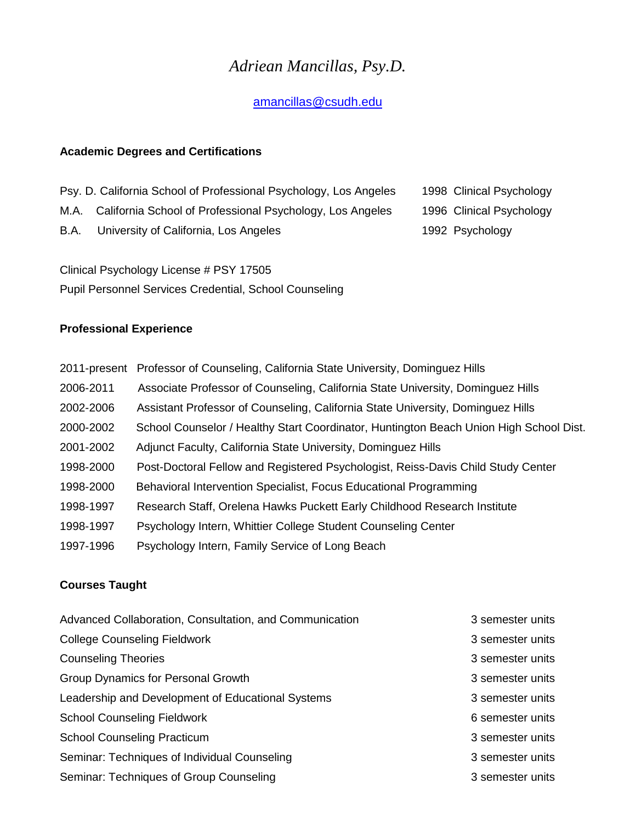# *Adriean Mancillas, Psy.D.*

# [amancillas@csudh.edu](mailto:amancillas@csudh.edu)

#### **Academic Degrees and Certifications**

- Psy. D. California School of Professional Psychology, Los Angeles 1998 Clinical Psychology
- M.A. California School of Professional Psychology, Los Angeles 1996 Clinical Psychology
- B.A. University of California, Los Angeles 1992 Psychology

Clinical Psychology License # PSY 17505 Pupil Personnel Services Credential, School Counseling

# **Professional Experience**

| 2011-present | Professor of Counseling, California State University, Dominguez Hills                  |
|--------------|----------------------------------------------------------------------------------------|
| 2006-2011    | Associate Professor of Counseling, California State University, Dominguez Hills        |
| 2002-2006    | Assistant Professor of Counseling, California State University, Dominguez Hills        |
| 2000-2002    | School Counselor / Healthy Start Coordinator, Huntington Beach Union High School Dist. |
| 2001-2002    | Adjunct Faculty, California State University, Dominguez Hills                          |
| 1998-2000    | Post-Doctoral Fellow and Registered Psychologist, Reiss-Davis Child Study Center       |
| 1998-2000    | Behavioral Intervention Specialist, Focus Educational Programming                      |
| 1998-1997    | Research Staff, Orelena Hawks Puckett Early Childhood Research Institute               |
| 1998-1997    | Psychology Intern, Whittier College Student Counseling Center                          |

1997-1996 Psychology Intern, Family Service of Long Beach

## **Courses Taught**

| Advanced Collaboration, Consultation, and Communication | 3 semester units |
|---------------------------------------------------------|------------------|
| <b>College Counseling Fieldwork</b>                     | 3 semester units |
| <b>Counseling Theories</b>                              | 3 semester units |
| Group Dynamics for Personal Growth                      | 3 semester units |
| Leadership and Development of Educational Systems       | 3 semester units |
| <b>School Counseling Fieldwork</b>                      | 6 semester units |
| <b>School Counseling Practicum</b>                      | 3 semester units |
| Seminar: Techniques of Individual Counseling            | 3 semester units |
| Seminar: Techniques of Group Counseling                 | 3 semester units |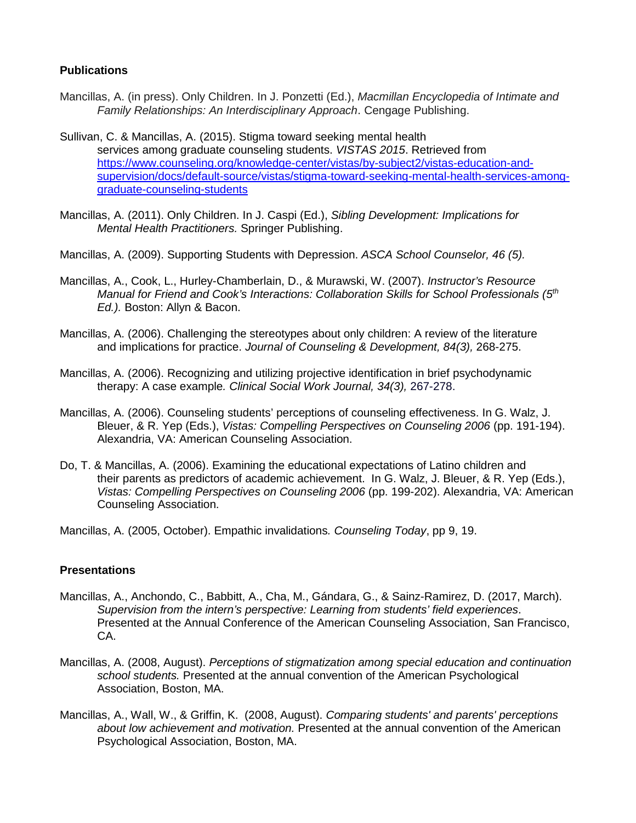## **Publications**

- Mancillas, A. (in press). Only Children. In J. Ponzetti (Ed.), *Macmillan Encyclopedia of Intimate and Family Relationships: An Interdisciplinary Approach*. Cengage Publishing.
- Sullivan, C. & Mancillas, A. (2015). Stigma toward seeking mental health services among graduate counseling students. *VISTAS 2015*. Retrieved from [https://www.counseling.org/knowledge-center/vistas/by-subject2/vistas-education-and](https://www.counseling.org/knowledge-center/vistas/by-subject2/vistas-education-and-supervision/docs/default-source/vistas/stigma-toward-seeking-mental-health-services-among-graduate-counseling-students)[supervision/docs/default-source/vistas/stigma-toward-seeking-mental-health-services-among](https://www.counseling.org/knowledge-center/vistas/by-subject2/vistas-education-and-supervision/docs/default-source/vistas/stigma-toward-seeking-mental-health-services-among-graduate-counseling-students)[graduate-counseling-students](https://www.counseling.org/knowledge-center/vistas/by-subject2/vistas-education-and-supervision/docs/default-source/vistas/stigma-toward-seeking-mental-health-services-among-graduate-counseling-students)
- Mancillas, A. (2011). Only Children. In J. Caspi (Ed.), *Sibling Development: Implications for Mental Health Practitioners.* Springer Publishing.
- Mancillas, A. (2009). Supporting Students with Depression. *ASCA School Counselor, 46 (5).*
- Mancillas, A., Cook, L., Hurley-Chamberlain, D., & Murawski, W. (2007). *Instructor's Resource Manual for Friend and Cook's Interactions: Collaboration Skills for School Professionals (5th Ed.).* Boston: Allyn & Bacon.
- Mancillas, A. (2006). Challenging the stereotypes about only children: A review of the literature and implications for practice. *Journal of Counseling & Development, 84(3),* 268-275.
- Mancillas, A. (2006). Recognizing and utilizing projective identification in brief psychodynamic therapy: A case example*. Clinical Social Work Journal, 34(3),* 267-278.
- Mancillas, A. (2006). Counseling students' perceptions of counseling effectiveness. In G. Walz, J. Bleuer, & R. Yep (Eds.), *Vistas: Compelling Perspectives on Counseling 2006* (pp. 191-194). Alexandria, VA: American Counseling Association.
- Do, T. & Mancillas, A. (2006). Examining the educational expectations of Latino children and their parents as predictors of academic achievement. In G. Walz, J. Bleuer, & R. Yep (Eds.), *Vistas: Compelling Perspectives on Counseling 2006* (pp. 199-202). Alexandria, VA: American Counseling Association.

Mancillas, A. (2005, October). Empathic invalidations*. Counseling Today*, pp 9, 19.

#### **Presentations**

- Mancillas, A., Anchondo, C., Babbitt, A., Cha, M., Gándara, G., & Sainz-Ramirez, D. (2017, March). *Supervision from the intern's perspective: Learning from students' field experiences*. Presented at the Annual Conference of the American Counseling Association, San Francisco, CA.
- Mancillas, A. (2008, August). *Perceptions of stigmatization among special education and continuation school students.* Presented at the annual convention of the American Psychological Association, Boston, MA.
- Mancillas, A., Wall, W., & Griffin, K. (2008, August). *Comparing students' and parents' perceptions about low achievement and motivation.* Presented at the annual convention of the American Psychological Association, Boston, MA.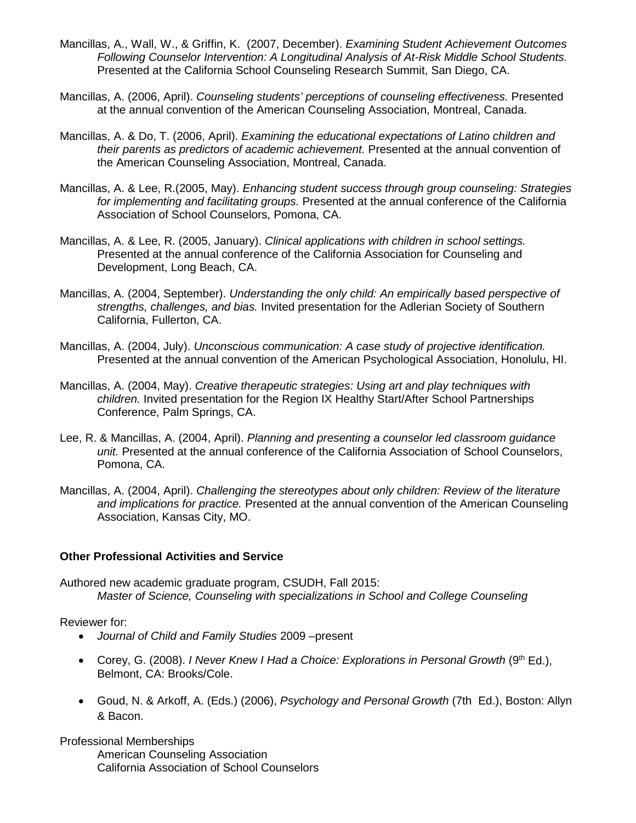- Mancillas, A., Wall, W., & Griffin, K. (2007, December). *Examining Student Achievement Outcomes Following Counselor Intervention: A Longitudinal Analysis of At-Risk Middle School Students.* Presented at the California School Counseling Research Summit, San Diego, CA.
- Mancillas, A. (2006, April). *Counseling students' perceptions of counseling effectiveness.* Presented at the annual convention of the American Counseling Association, Montreal, Canada.
- Mancillas, A. & Do, T. (2006, April). *Examining the educational expectations of Latino children and their parents as predictors of academic achievement.* Presented at the annual convention of the American Counseling Association, Montreal, Canada.
- Mancillas, A. & Lee, R.(2005, May). *Enhancing student success through group counseling: Strategies for implementing and facilitating groups.* Presented at the annual conference of the California Association of School Counselors, Pomona, CA.
- Mancillas, A. & Lee, R. (2005, January). *Clinical applications with children in school settings.*  Presented at the annual conference of the California Association for Counseling and Development, Long Beach, CA.
- Mancillas, A. (2004, September). *Understanding the only child: An empirically based perspective of strengths, challenges, and bias.* Invited presentation for the Adlerian Society of Southern California, Fullerton, CA.
- Mancillas, A. (2004, July). *Unconscious communication: A case study of projective identification.* Presented at the annual convention of the American Psychological Association, Honolulu, HI.
- Mancillas, A. (2004, May). *Creative therapeutic strategies: Using art and play techniques with children.* Invited presentation for the Region IX Healthy Start/After School Partnerships Conference, Palm Springs, CA.
- Lee, R. & Mancillas, A. (2004, April). *Planning and presenting a counselor led classroom guidance unit.* Presented at the annual conference of the California Association of School Counselors, Pomona, CA.
- Mancillas, A. (2004, April). *Challenging the stereotypes about only children: Review of the literature and implications for practice.* Presented at the annual convention of the American Counseling Association, Kansas City, MO.

## **Other Professional Activities and Service**

Authored new academic graduate program, CSUDH, Fall 2015: *Master of Science, Counseling with specializations in School and College Counseling*

Reviewer for:

- *Journal of Child and Family Studies* 2009 –present
- Corey, G. (2008). *I Never Knew I Had a Choice: Explorations in Personal Growth* (9<sup>th</sup> Ed.), Belmont, CA: Brooks/Cole.
- Goud, N. & Arkoff, A. (Eds.) (2006), *Psychology and Personal Growth* (7th Ed.), Boston: Allyn & Bacon.

Professional Memberships American Counseling Association California Association of School Counselors